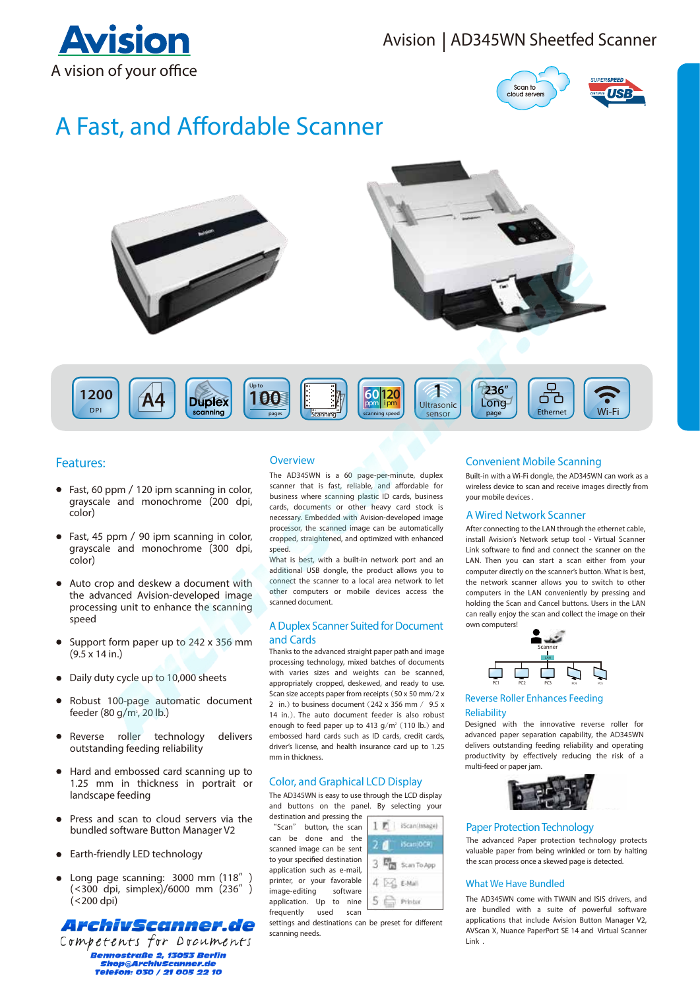# Avision | AD345WN Sheetfed Scanner





# A Fast, and Affordable Scanner



# **Features:**

- Fast, 60 ppm / 120 ipm scanning in color, grayscale and monochrome (200 dpi, color)
- Fast, 45 ppm / 90 ipm scanning in color, grayscale and monochrome (300 dpi, color)
- $\bullet$ Auto crop and deskew a document with the advanced Avision-developed image processing unit to enhance the scanning speed
- $\bullet$ Support form paper up to 242 x 356 mm  $(9.5 \times 14 \text{ in.})$
- Daily duty cycle up to 10,000 sheets
- Robust 100-page automatic document feeder (80 g/m<sup>2</sup>, 20 lb.)
- Reverse roller technology del l delivers outstanding feeding reliability
- Hard and embossed card scanning up to  $\bullet$ 1.25 mm in thickness in portrait or landscape feeding l
- Press and scan to cloud servers via the bundled software Button Manager V2
- Earth-friendly LED technology
- $\bullet$ Long page scanning: 3000 mm (118" (<300 dpi, simplex)/6000 mm (236")  $(<$  200 dpi)



Competents for Documents **Bennostraße 2. 13053 Berlin** *Shop@ArchivScanner.de*<br>Fhop@ArchivScanner.de<br>Telefon: 030 / 21 005 22 10

#### Overview

The AD345WN is a 60 page-per-minute, duplex scanner that is fast, reliable, and affordable for business where scanning plastic ID cards, business cards, documents or other heavy card stock is necessary. Embedded with Avision-developed image processor, the scanned image can be automatically  $\overline{\phantom{a}}$ cropped, straightened, and optimized with enhanced speed.

What is best, with a built-in network port and an additional USB dongle, the product allows you to connect the scanner to a local area network to let other computers or mobile devices access the scanned document

#### A Duplex Scanner Suited for Document and Cards

Thanks to the advanced straight paper path and image processing technology, mixed batches of documents with varies sizes and weights can be scanned, appropriately cropped, deskewed, and ready to use. Scan size accepts paper from receipts  $(50 \times 50 \text{ mm}/2 \times 10^{-10})$ 2 in  $\rightarrow$  to business document (242 x 356 mm / 9.5 x 14 in.). The auto document feeder is also robust enough to feed paper up to 413  $g/m^2$  (110 lb.) and embossed hard cards such as ID cards, credit cards, driver's license, and health insurance card up to 1.25 mm in thicknose

## **Color, and Graphical LCD Display**

The AD345WN is easy to use through the LCD display and buttons on the panel. By selecting your destination and pressing the

 $1.7$ 

5

(Scanilmage)

3 mm Scan To App

Printer

 $4\frac{1}{2}$  E-Mail

"Scan" button, the scan can be done and the scanned image can be sent to your specified destination application such as e-mail, printer, or your favorable image-editing software application. Up to nine frequently used scan



## **Convenient Mobile Scanning**

Built-in with a Wi-Fi dongle, the AD345WN can work as a wireless device to scan and receive images directly from your mobile devices.

#### **A Wired Network Scanner**

After connecting to the LAN through the ethernet cable, install Avision's Network setup tool - Virtual Scanner l Link software to find and connect the scanner on the LAN. Then you can start a scan either from your computer directly on the scanner's button. What is best, the network scanner allows you to switch to other computers in the LAN conveniently by pressing and holding the Scan and Cancel buttons. Users in the LAN can really enjoy the scan and collect the image on their  $\overline{\phantom{a}}$  $\overline{\phantom{a}}$ own computers!



**Reverse Roller Enhances Feeding** l **Reliability** 

Designed with the innovative reverse roller for I advanced paper separation capability, the AD345WN delivers outstanding feeding reliability and operating productivity by effectively reducing the risk of a multi-feed or paper jam



#### **Paper Protection Technology**

The advanced Paper protection technology protects valuable paper from being wrinkled or torn by halting the scan process once a skewed page is detected.

#### **What We Have Bundled**

The AD345WN come with TWAIN and ISIS drivers, and are bundled with a suite of powerful software applications that include Avision Button Manager V2, AVScan X, Nuance PaperPort SE 14 and Virtual Scanner Link.